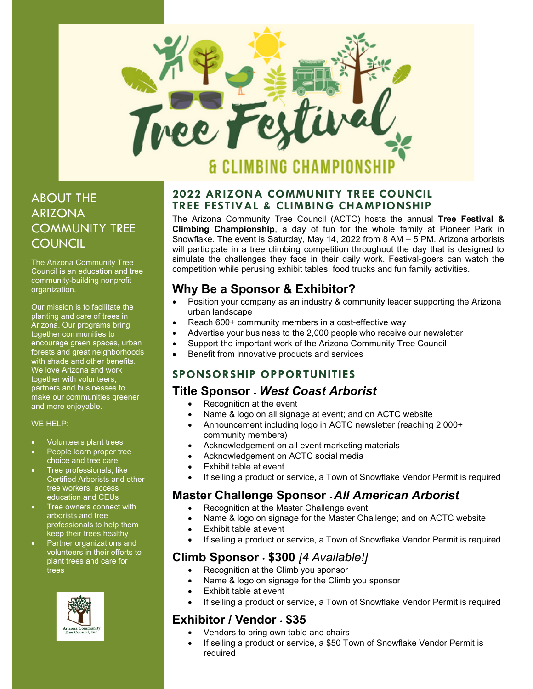

# IMBING CHAMPIO

## ABOUT THE ARIZONA COMMUNITY TREE **COUNCIL**

The Arizona Community Tree Council is an education and tree community-building nonprofit organization.

Our mission is to facilitate the planting and care of trees in Arizona. Our programs bring together communities to encourage green spaces, urban forests and great neighborhoods with shade and other benefits. We love Arizona and work together with volunteers, partners and businesses to make our communities greener and more enjoyable.

#### WE HELP:

- Volunteers plant trees
- People learn proper tree choice and tree care
- Tree professionals, like Certified Arborists and other tree workers, access education and CEUs
- Tree owners connect with arborists and tree professionals to help them keep their trees healthy
- Partner organizations and volunteers in their efforts to plant trees and care for trees



#### 2022 ARIZONA COMMUNITY TREE COUNCIL TREE FESTIVAL & CLIMBING CHAMPIONSHIP

The Arizona Community Tree Council (ACTC) hosts the annual Tree Festival & Climbing Championship, a day of fun for the whole family at Pioneer Park in Snowflake. The event is Saturday, May 14, 2022 from 8 AM – 5 PM. Arizona arborists will participate in a tree climbing competition throughout the day that is designed to simulate the challenges they face in their daily work. Festival-goers can watch the competition while perusing exhibit tables, food trucks and fun family activities.

### Why Be a Sponsor & Exhibitor?

- Position your company as an industry & community leader supporting the Arizona urban landscape
- Reach 600+ community members in a cost-effective way
- Advertise your business to the 2,000 people who receive our newsletter
- Support the important work of the Arizona Community Tree Council
- Benefit from innovative products and services

#### SPONSORSHIP OPPORTUNITIES

#### Title Sponsor - West Coast Arborist

- Recognition at the event
- Name & logo on all signage at event; and on ACTC website
- Announcement including logo in ACTC newsletter (reaching 2,000+ community members)
- Acknowledgement on all event marketing materials
- Acknowledgement on ACTC social media
- Exhibit table at event
- If selling a product or service, a Town of Snowflake Vendor Permit is required

### Master Challenge Sponsor - All American Arborist

- Recognition at the Master Challenge event
- Name & logo on signage for the Master Challenge; and on ACTC website
- Exhibit table at event
- If selling a product or service, a Town of Snowflake Vendor Permit is required

### Climb Sponsor · \$300 [4 Available!]

- Recognition at the Climb you sponsor
	- Name & logo on signage for the Climb you sponsor
	- Exhibit table at event
	- If selling a product or service, a Town of Snowflake Vendor Permit is required

### Exhibitor / Vendor • \$35

- Vendors to bring own table and chairs
- If selling a product or service, a \$50 Town of Snowflake Vendor Permit is required